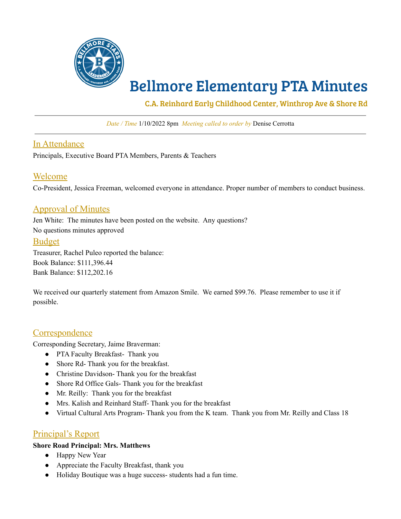

# Bellmore Elementary PTA Minutes

C.A. Reinhard Early Childhood Center, Winthrop Ave & Shore Rd

*Date / Time* 1/10/2022 8pm *Meeting called to order by* Denise Cerrotta

## In Attendance

Principals, Executive Board PTA Members, Parents & Teachers

## Welcome

Co-President, Jessica Freeman, welcomed everyone in attendance. Proper number of members to conduct business.

## Approval of Minutes

Jen White: The minutes have been posted on the website. Any questions? No questions minutes approved

## Budget

Treasurer, Rachel Puleo reported the balance: Book Balance: \$111,396.44 Bank Balance: \$112,202.16

We received our quarterly statement from Amazon Smile. We earned \$99.76. Please remember to use it if possible.

## **Correspondence**

Corresponding Secretary, Jaime Braverman:

- PTA Faculty Breakfast- Thank you
- Shore Rd- Thank you for the breakfast.
- Christine Davidson-Thank you for the breakfast
- Shore Rd Office Gals- Thank you for the breakfast
- Mr. Reilly: Thank you for the breakfast
- Mrs. Kalish and Reinhard Staff- Thank you for the breakfast
- Virtual Cultural Arts Program- Thank you from the K team. Thank you from Mr. Reilly and Class 18

## Principal's Report

#### **Shore Road Principal: Mrs. Matthews**

- Happy New Year
- Appreciate the Faculty Breakfast, thank you
- Holiday Boutique was a huge success- students had a fun time.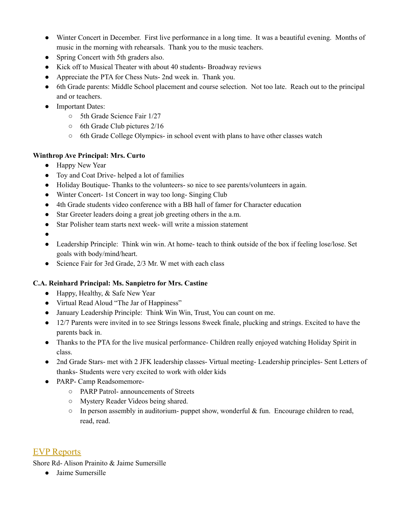- Winter Concert in December. First live performance in a long time. It was a beautiful evening. Months of music in the morning with rehearsals. Thank you to the music teachers.
- Spring Concert with 5th graders also.
- Kick off to Musical Theater with about 40 students- Broadway reviews
- Appreciate the PTA for Chess Nuts- 2nd week in. Thank you.
- 6th Grade parents: Middle School placement and course selection. Not too late. Reach out to the principal and or teachers.
- Important Dates:
	- 5th Grade Science Fair 1/27
	- 6th Grade Club pictures 2/16
	- 6th Grade College Olympics- in school event with plans to have other classes watch

## **Winthrop Ave Principal: Mrs. Curto**

- Happy New Year
- Toy and Coat Drive- helped a lot of families
- Holiday Boutique- Thanks to the volunteers- so nice to see parents/volunteers in again.
- Winter Concert- 1st Concert in way too long-Singing Club
- 4th Grade students video conference with a BB hall of famer for Character education
- Star Greeter leaders doing a great job greeting others in the a.m.
- Star Polisher team starts next week- will write a mission statement

●

- Leadership Principle: Think win win. At home-teach to think outside of the box if feeling lose/lose. Set goals with body/mind/heart.
- Science Fair for 3rd Grade, 2/3 Mr. W met with each class

## **C.A. Reinhard Principal: Ms. Sanpietro for Mrs. Castine**

- $\bullet$  Happy, Healthy, & Safe New Year
- Virtual Read Aloud "The Jar of Happiness"
- January Leadership Principle: Think Win Win, Trust, You can count on me.
- 12/7 Parents were invited in to see Strings lessons 8week finale, plucking and strings. Excited to have the parents back in.
- Thanks to the PTA for the live musical performance- Children really enjoyed watching Holiday Spirit in class.
- 2nd Grade Stars- met with 2 JFK leadership classes- Virtual meeting- Leadership principles- Sent Letters of thanks- Students were very excited to work with older kids
- PARP- Camp Readsomemore-
	- PARP Patrol- announcements of Streets
	- Mystery Reader Videos being shared.
	- $\circ$  In person assembly in auditorium- puppet show, wonderful & fun. Encourage children to read, read, read.

# EVP Reports

Shore Rd- Alison Prainito & Jaime Sumersille

● Jaime Sumersille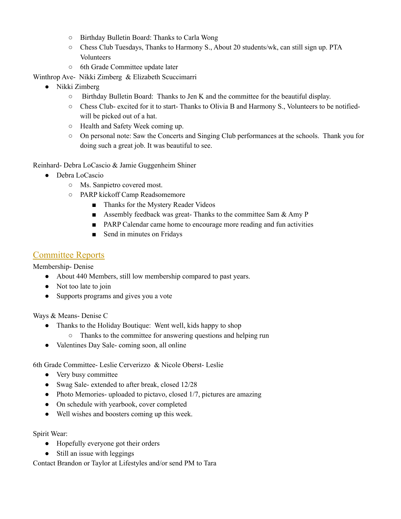- Birthday Bulletin Board: Thanks to Carla Wong
- Chess Club Tuesdays, Thanks to Harmony S., About 20 students/wk, can still sign up. PTA Volunteers
- 6th Grade Committee update later

Winthrop Ave- Nikki Zimberg & Elizabeth Scuccimarri

- Nikki Zimberg
	- $\circ$  Birthday Bulletin Board: Thanks to Jen K and the committee for the beautiful display.
	- Chess Club- excited for it to start- Thanks to Olivia B and Harmony S., Volunteers to be notifiedwill be picked out of a hat.
	- Health and Safety Week coming up.
	- On personal note: Saw the Concerts and Singing Club performances at the schools. Thank you for doing such a great job. It was beautiful to see.

Reinhard- Debra LoCascio & Jamie Guggenheim Shiner

- Debra LoCascio
	- Ms. Sanpietro covered most.
	- PARP kickoff Camp Readsomemore
		- Thanks for the Mystery Reader Videos
		- **Assembly feedback was great-** Thanks to the committee Sam  $\&$  Amy P
		- PARP Calendar came home to encourage more reading and fun activities
		- Send in minutes on Fridays

## Committee Reports

Membership- Denise

- About 440 Members, still low membership compared to past years.
- Not too late to join
- Supports programs and gives you a vote

Ways & Means- Denise C

- Thanks to the Holiday Boutique: Went well, kids happy to shop
	- Thanks to the committee for answering questions and helping run
- Valentines Day Sale- coming soon, all online

6th Grade Committee- Leslie Cerverizzo & Nicole Oberst- Leslie

- Very busy committee
- Swag Sale- extended to after break, closed 12/28
- Photo Memories- uploaded to pictavo, closed 1/7, pictures are amazing
- On schedule with yearbook, cover completed
- Well wishes and boosters coming up this week.

Spirit Wear:

- Hopefully everyone got their orders
- Still an issue with leggings

Contact Brandon or Taylor at Lifestyles and/or send PM to Tara